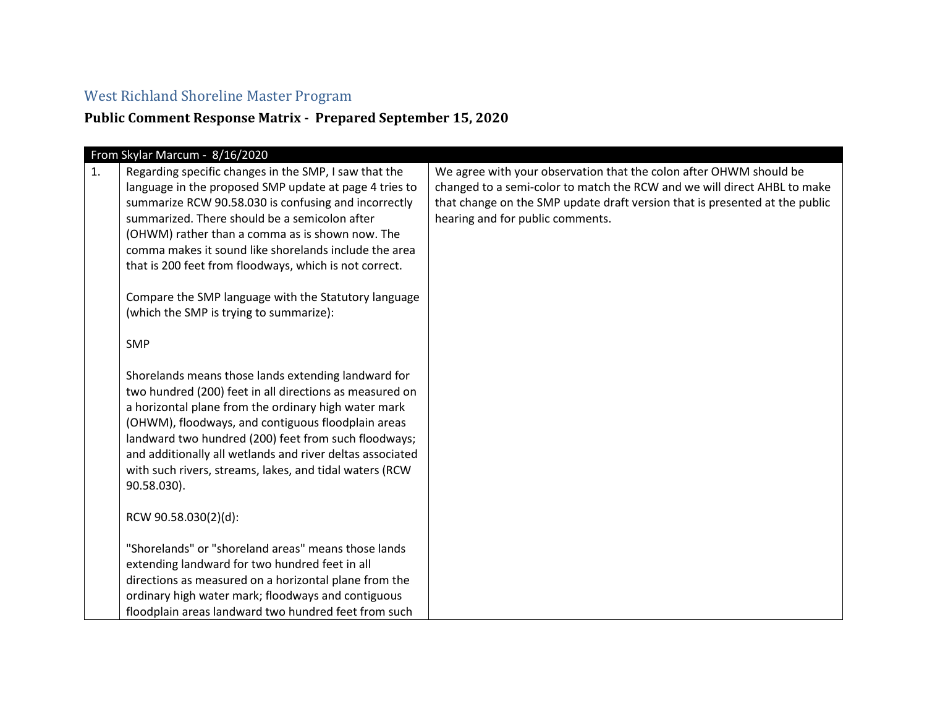## West Richland Shoreline Master Program

## **Public Comment Response Matrix - Prepared September 15, 2020**

|    | From Skylar Marcum - 8/16/2020                            |                                                                             |
|----|-----------------------------------------------------------|-----------------------------------------------------------------------------|
| 1. | Regarding specific changes in the SMP, I saw that the     | We agree with your observation that the colon after OHWM should be          |
|    | language in the proposed SMP update at page 4 tries to    | changed to a semi-color to match the RCW and we will direct AHBL to make    |
|    | summarize RCW 90.58.030 is confusing and incorrectly      | that change on the SMP update draft version that is presented at the public |
|    | summarized. There should be a semicolon after             | hearing and for public comments.                                            |
|    | (OHWM) rather than a comma as is shown now. The           |                                                                             |
|    | comma makes it sound like shorelands include the area     |                                                                             |
|    | that is 200 feet from floodways, which is not correct.    |                                                                             |
|    |                                                           |                                                                             |
|    | Compare the SMP language with the Statutory language      |                                                                             |
|    | (which the SMP is trying to summarize):                   |                                                                             |
|    |                                                           |                                                                             |
|    | <b>SMP</b>                                                |                                                                             |
|    |                                                           |                                                                             |
|    | Shorelands means those lands extending landward for       |                                                                             |
|    | two hundred (200) feet in all directions as measured on   |                                                                             |
|    | a horizontal plane from the ordinary high water mark      |                                                                             |
|    | (OHWM), floodways, and contiguous floodplain areas        |                                                                             |
|    | landward two hundred (200) feet from such floodways;      |                                                                             |
|    | and additionally all wetlands and river deltas associated |                                                                             |
|    | with such rivers, streams, lakes, and tidal waters (RCW   |                                                                             |
|    | 90.58.030).                                               |                                                                             |
|    |                                                           |                                                                             |
|    | RCW 90.58.030(2)(d):                                      |                                                                             |
|    |                                                           |                                                                             |
|    | "Shorelands" or "shoreland areas" means those lands       |                                                                             |
|    | extending landward for two hundred feet in all            |                                                                             |
|    | directions as measured on a horizontal plane from the     |                                                                             |
|    | ordinary high water mark; floodways and contiguous        |                                                                             |
|    | floodplain areas landward two hundred feet from such      |                                                                             |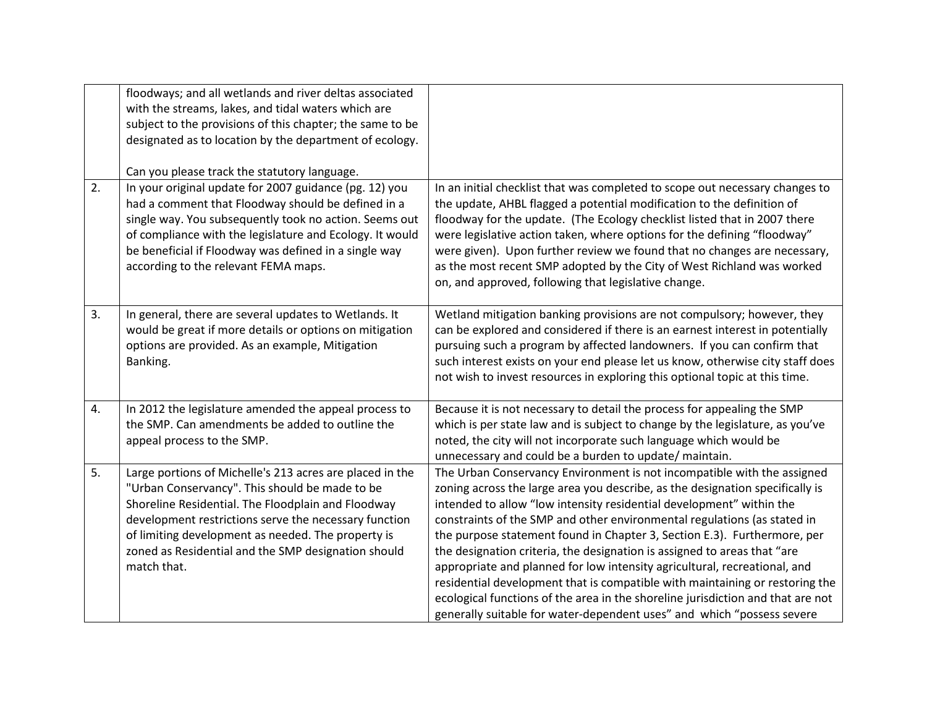|    | floodways; and all wetlands and river deltas associated<br>with the streams, lakes, and tidal waters which are<br>subject to the provisions of this chapter; the same to be<br>designated as to location by the department of ecology.                                                                                                                                              |                                                                                                                                                                                                                                                                                                                                                                                                                                                                                                                                                                                                                                                                                                                                                                                                |
|----|-------------------------------------------------------------------------------------------------------------------------------------------------------------------------------------------------------------------------------------------------------------------------------------------------------------------------------------------------------------------------------------|------------------------------------------------------------------------------------------------------------------------------------------------------------------------------------------------------------------------------------------------------------------------------------------------------------------------------------------------------------------------------------------------------------------------------------------------------------------------------------------------------------------------------------------------------------------------------------------------------------------------------------------------------------------------------------------------------------------------------------------------------------------------------------------------|
| 2. | Can you please track the statutory language.<br>In your original update for 2007 guidance (pg. 12) you<br>had a comment that Floodway should be defined in a<br>single way. You subsequently took no action. Seems out<br>of compliance with the legislature and Ecology. It would<br>be beneficial if Floodway was defined in a single way<br>according to the relevant FEMA maps. | In an initial checklist that was completed to scope out necessary changes to<br>the update, AHBL flagged a potential modification to the definition of<br>floodway for the update. (The Ecology checklist listed that in 2007 there<br>were legislative action taken, where options for the defining "floodway"<br>were given). Upon further review we found that no changes are necessary,<br>as the most recent SMP adopted by the City of West Richland was worked<br>on, and approved, following that legislative change.                                                                                                                                                                                                                                                                  |
| 3. | In general, there are several updates to Wetlands. It<br>would be great if more details or options on mitigation<br>options are provided. As an example, Mitigation<br>Banking.                                                                                                                                                                                                     | Wetland mitigation banking provisions are not compulsory; however, they<br>can be explored and considered if there is an earnest interest in potentially<br>pursuing such a program by affected landowners. If you can confirm that<br>such interest exists on your end please let us know, otherwise city staff does<br>not wish to invest resources in exploring this optional topic at this time.                                                                                                                                                                                                                                                                                                                                                                                           |
| 4. | In 2012 the legislature amended the appeal process to<br>the SMP. Can amendments be added to outline the<br>appeal process to the SMP.                                                                                                                                                                                                                                              | Because it is not necessary to detail the process for appealing the SMP<br>which is per state law and is subject to change by the legislature, as you've<br>noted, the city will not incorporate such language which would be<br>unnecessary and could be a burden to update/ maintain.                                                                                                                                                                                                                                                                                                                                                                                                                                                                                                        |
| 5. | Large portions of Michelle's 213 acres are placed in the<br>"Urban Conservancy". This should be made to be<br>Shoreline Residential. The Floodplain and Floodway<br>development restrictions serve the necessary function<br>of limiting development as needed. The property is<br>zoned as Residential and the SMP designation should<br>match that.                               | The Urban Conservancy Environment is not incompatible with the assigned<br>zoning across the large area you describe, as the designation specifically is<br>intended to allow "low intensity residential development" within the<br>constraints of the SMP and other environmental regulations (as stated in<br>the purpose statement found in Chapter 3, Section E.3). Furthermore, per<br>the designation criteria, the designation is assigned to areas that "are<br>appropriate and planned for low intensity agricultural, recreational, and<br>residential development that is compatible with maintaining or restoring the<br>ecological functions of the area in the shoreline jurisdiction and that are not<br>generally suitable for water-dependent uses" and which "possess severe |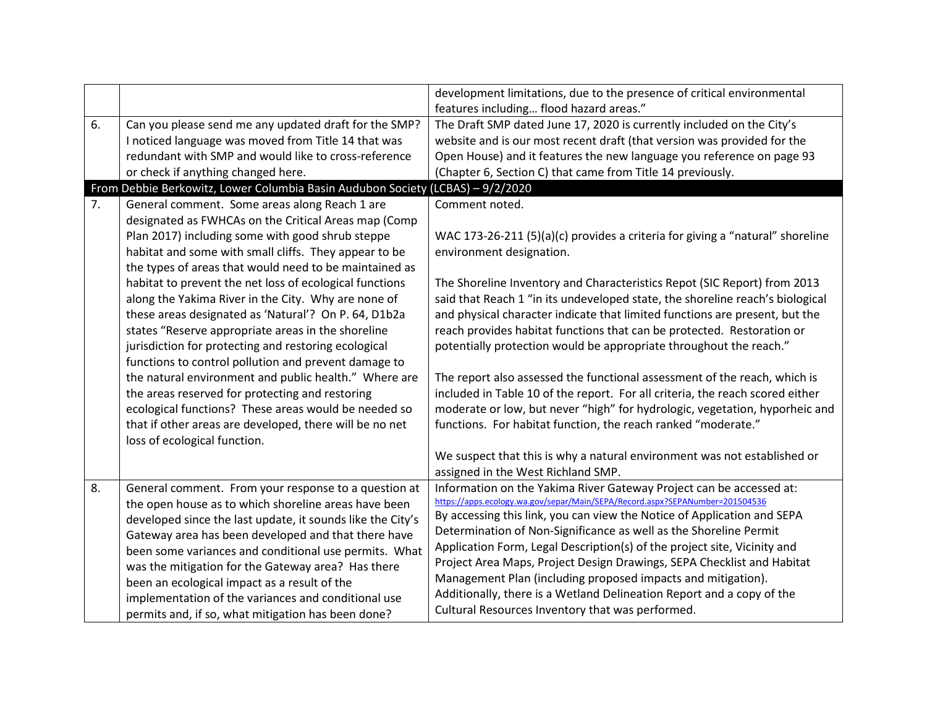| 6. |                                                                                                                                                                                                                                                                                                                                                                                                                                                                                                                                                                                                                                                                                                                                                                                                                                                                                             | development limitations, due to the presence of critical environmental<br>features including flood hazard areas."                                                                                                                                                                                                                                                                                                                                                                                                                                                                                                                                                                                                                                                                                                                                                                                                 |
|----|---------------------------------------------------------------------------------------------------------------------------------------------------------------------------------------------------------------------------------------------------------------------------------------------------------------------------------------------------------------------------------------------------------------------------------------------------------------------------------------------------------------------------------------------------------------------------------------------------------------------------------------------------------------------------------------------------------------------------------------------------------------------------------------------------------------------------------------------------------------------------------------------|-------------------------------------------------------------------------------------------------------------------------------------------------------------------------------------------------------------------------------------------------------------------------------------------------------------------------------------------------------------------------------------------------------------------------------------------------------------------------------------------------------------------------------------------------------------------------------------------------------------------------------------------------------------------------------------------------------------------------------------------------------------------------------------------------------------------------------------------------------------------------------------------------------------------|
|    | Can you please send me any updated draft for the SMP?<br>I noticed language was moved from Title 14 that was<br>redundant with SMP and would like to cross-reference<br>or check if anything changed here.                                                                                                                                                                                                                                                                                                                                                                                                                                                                                                                                                                                                                                                                                  | The Draft SMP dated June 17, 2020 is currently included on the City's<br>website and is our most recent draft (that version was provided for the<br>Open House) and it features the new language you reference on page 93<br>(Chapter 6, Section C) that came from Title 14 previously.                                                                                                                                                                                                                                                                                                                                                                                                                                                                                                                                                                                                                           |
|    | From Debbie Berkowitz, Lower Columbia Basin Audubon Society (LCBAS) - 9/2/2020                                                                                                                                                                                                                                                                                                                                                                                                                                                                                                                                                                                                                                                                                                                                                                                                              |                                                                                                                                                                                                                                                                                                                                                                                                                                                                                                                                                                                                                                                                                                                                                                                                                                                                                                                   |
| 7. | General comment. Some areas along Reach 1 are<br>designated as FWHCAs on the Critical Areas map (Comp<br>Plan 2017) including some with good shrub steppe<br>habitat and some with small cliffs. They appear to be<br>the types of areas that would need to be maintained as<br>habitat to prevent the net loss of ecological functions<br>along the Yakima River in the City. Why are none of<br>these areas designated as 'Natural'? On P. 64, D1b2a<br>states "Reserve appropriate areas in the shoreline<br>jurisdiction for protecting and restoring ecological<br>functions to control pollution and prevent damage to<br>the natural environment and public health." Where are<br>the areas reserved for protecting and restoring<br>ecological functions? These areas would be needed so<br>that if other areas are developed, there will be no net<br>loss of ecological function. | Comment noted.<br>WAC 173-26-211 (5)(a)(c) provides a criteria for giving a "natural" shoreline<br>environment designation.<br>The Shoreline Inventory and Characteristics Repot (SIC Report) from 2013<br>said that Reach 1 "in its undeveloped state, the shoreline reach's biological<br>and physical character indicate that limited functions are present, but the<br>reach provides habitat functions that can be protected. Restoration or<br>potentially protection would be appropriate throughout the reach."<br>The report also assessed the functional assessment of the reach, which is<br>included in Table 10 of the report. For all criteria, the reach scored either<br>moderate or low, but never "high" for hydrologic, vegetation, hyporheic and<br>functions. For habitat function, the reach ranked "moderate."<br>We suspect that this is why a natural environment was not established or |
| 8. | General comment. From your response to a question at                                                                                                                                                                                                                                                                                                                                                                                                                                                                                                                                                                                                                                                                                                                                                                                                                                        | assigned in the West Richland SMP.<br>Information on the Yakima River Gateway Project can be accessed at:                                                                                                                                                                                                                                                                                                                                                                                                                                                                                                                                                                                                                                                                                                                                                                                                         |
|    | the open house as to which shoreline areas have been<br>developed since the last update, it sounds like the City's<br>Gateway area has been developed and that there have<br>been some variances and conditional use permits. What<br>was the mitigation for the Gateway area? Has there<br>been an ecological impact as a result of the<br>implementation of the variances and conditional use<br>permits and, if so, what mitigation has been done?                                                                                                                                                                                                                                                                                                                                                                                                                                       | https://apps.ecology.wa.gov/separ/Main/SEPA/Record.aspx?SEPANumber=201504536<br>By accessing this link, you can view the Notice of Application and SEPA<br>Determination of Non-Significance as well as the Shoreline Permit<br>Application Form, Legal Description(s) of the project site, Vicinity and<br>Project Area Maps, Project Design Drawings, SEPA Checklist and Habitat<br>Management Plan (including proposed impacts and mitigation).<br>Additionally, there is a Wetland Delineation Report and a copy of the<br>Cultural Resources Inventory that was performed.                                                                                                                                                                                                                                                                                                                                   |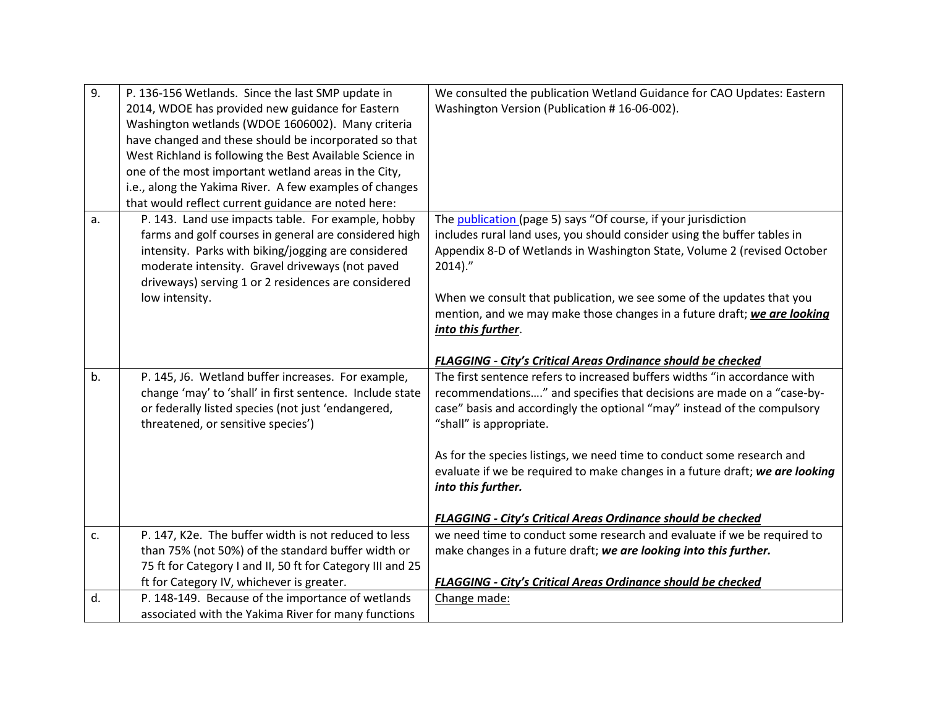| 9. | P. 136-156 Wetlands. Since the last SMP update in                                              | We consulted the publication Wetland Guidance for CAO Updates: Eastern              |
|----|------------------------------------------------------------------------------------------------|-------------------------------------------------------------------------------------|
|    | 2014, WDOE has provided new guidance for Eastern                                               | Washington Version (Publication #16-06-002).                                        |
|    | Washington wetlands (WDOE 1606002). Many criteria                                              |                                                                                     |
|    | have changed and these should be incorporated so that                                          |                                                                                     |
|    | West Richland is following the Best Available Science in                                       |                                                                                     |
|    | one of the most important wetland areas in the City,                                           |                                                                                     |
|    | i.e., along the Yakima River. A few examples of changes                                        |                                                                                     |
|    | that would reflect current guidance are noted here:                                            |                                                                                     |
| a. | P. 143. Land use impacts table. For example, hobby                                             | The publication (page 5) says "Of course, if your jurisdiction                      |
|    | farms and golf courses in general are considered high                                          | includes rural land uses, you should consider using the buffer tables in            |
|    | intensity. Parks with biking/jogging are considered                                            | Appendix 8-D of Wetlands in Washington State, Volume 2 (revised October             |
|    | moderate intensity. Gravel driveways (not paved                                                | $2014$ )."                                                                          |
|    | driveways) serving 1 or 2 residences are considered                                            |                                                                                     |
|    | low intensity.                                                                                 | When we consult that publication, we see some of the updates that you               |
|    |                                                                                                | mention, and we may make those changes in a future draft; we are looking            |
|    |                                                                                                | into this further.                                                                  |
|    |                                                                                                |                                                                                     |
|    |                                                                                                | <b>FLAGGING - City's Critical Areas Ordinance should be checked</b>                 |
| b. | P. 145, J6. Wetland buffer increases. For example,                                             | The first sentence refers to increased buffers widths "in accordance with           |
|    | change 'may' to 'shall' in first sentence. Include state                                       | recommendations" and specifies that decisions are made on a "case-by-               |
|    | or federally listed species (not just 'endangered,                                             | case" basis and accordingly the optional "may" instead of the compulsory            |
|    | threatened, or sensitive species')                                                             | "shall" is appropriate.                                                             |
|    |                                                                                                |                                                                                     |
|    |                                                                                                |                                                                                     |
|    |                                                                                                | As for the species listings, we need time to conduct some research and              |
|    |                                                                                                | evaluate if we be required to make changes in a future draft; we are looking        |
|    |                                                                                                | into this further.                                                                  |
|    |                                                                                                |                                                                                     |
|    |                                                                                                | <b>FLAGGING - City's Critical Areas Ordinance should be checked</b>                 |
| c. | P. 147, K2e. The buffer width is not reduced to less                                           | we need time to conduct some research and evaluate if we be required to             |
|    | than 75% (not 50%) of the standard buffer width or                                             | make changes in a future draft; we are looking into this further.                   |
|    | 75 ft for Category I and II, 50 ft for Category III and 25                                     |                                                                                     |
| d. | ft for Category IV, whichever is greater.<br>P. 148-149. Because of the importance of wetlands | <b>FLAGGING - City's Critical Areas Ordinance should be checked</b><br>Change made: |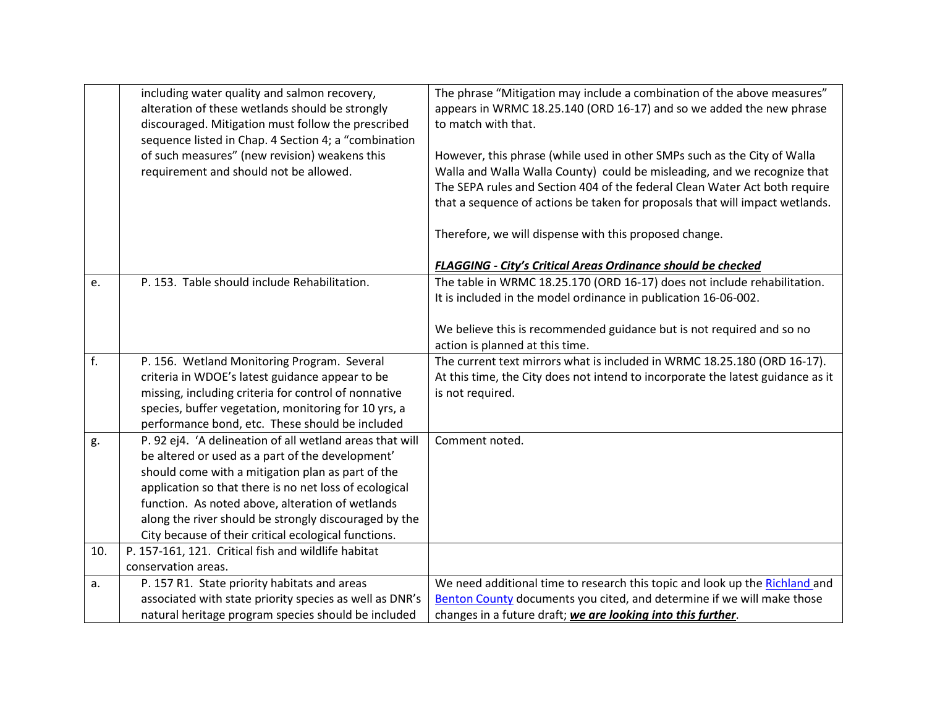|     | including water quality and salmon recovery,<br>alteration of these wetlands should be strongly<br>discouraged. Mitigation must follow the prescribed<br>sequence listed in Chap. 4 Section 4; a "combination<br>of such measures" (new revision) weakens this<br>requirement and should not be allowed. | The phrase "Mitigation may include a combination of the above measures"<br>appears in WRMC 18.25.140 (ORD 16-17) and so we added the new phrase<br>to match with that.<br>However, this phrase (while used in other SMPs such as the City of Walla<br>Walla and Walla Walla County) could be misleading, and we recognize that<br>The SEPA rules and Section 404 of the federal Clean Water Act both require |
|-----|----------------------------------------------------------------------------------------------------------------------------------------------------------------------------------------------------------------------------------------------------------------------------------------------------------|--------------------------------------------------------------------------------------------------------------------------------------------------------------------------------------------------------------------------------------------------------------------------------------------------------------------------------------------------------------------------------------------------------------|
|     |                                                                                                                                                                                                                                                                                                          | that a sequence of actions be taken for proposals that will impact wetlands.<br>Therefore, we will dispense with this proposed change.                                                                                                                                                                                                                                                                       |
|     |                                                                                                                                                                                                                                                                                                          | <b>FLAGGING - City's Critical Areas Ordinance should be checked</b>                                                                                                                                                                                                                                                                                                                                          |
| e.  | P. 153. Table should include Rehabilitation.                                                                                                                                                                                                                                                             | The table in WRMC 18.25.170 (ORD 16-17) does not include rehabilitation.                                                                                                                                                                                                                                                                                                                                     |
|     |                                                                                                                                                                                                                                                                                                          | It is included in the model ordinance in publication 16-06-002.                                                                                                                                                                                                                                                                                                                                              |
|     |                                                                                                                                                                                                                                                                                                          |                                                                                                                                                                                                                                                                                                                                                                                                              |
|     |                                                                                                                                                                                                                                                                                                          | We believe this is recommended guidance but is not required and so no                                                                                                                                                                                                                                                                                                                                        |
|     |                                                                                                                                                                                                                                                                                                          | action is planned at this time.                                                                                                                                                                                                                                                                                                                                                                              |
| f.  | P. 156. Wetland Monitoring Program. Several                                                                                                                                                                                                                                                              | The current text mirrors what is included in WRMC 18.25.180 (ORD 16-17).                                                                                                                                                                                                                                                                                                                                     |
|     | criteria in WDOE's latest guidance appear to be                                                                                                                                                                                                                                                          | At this time, the City does not intend to incorporate the latest guidance as it                                                                                                                                                                                                                                                                                                                              |
|     | missing, including criteria for control of nonnative                                                                                                                                                                                                                                                     | is not required.                                                                                                                                                                                                                                                                                                                                                                                             |
|     | species, buffer vegetation, monitoring for 10 yrs, a                                                                                                                                                                                                                                                     |                                                                                                                                                                                                                                                                                                                                                                                                              |
|     | performance bond, etc. These should be included                                                                                                                                                                                                                                                          |                                                                                                                                                                                                                                                                                                                                                                                                              |
| g.  | P. 92 ej4. 'A delineation of all wetland areas that will                                                                                                                                                                                                                                                 | Comment noted.                                                                                                                                                                                                                                                                                                                                                                                               |
|     | be altered or used as a part of the development'                                                                                                                                                                                                                                                         |                                                                                                                                                                                                                                                                                                                                                                                                              |
|     | should come with a mitigation plan as part of the                                                                                                                                                                                                                                                        |                                                                                                                                                                                                                                                                                                                                                                                                              |
|     | application so that there is no net loss of ecological                                                                                                                                                                                                                                                   |                                                                                                                                                                                                                                                                                                                                                                                                              |
|     | function. As noted above, alteration of wetlands                                                                                                                                                                                                                                                         |                                                                                                                                                                                                                                                                                                                                                                                                              |
|     | along the river should be strongly discouraged by the                                                                                                                                                                                                                                                    |                                                                                                                                                                                                                                                                                                                                                                                                              |
|     | City because of their critical ecological functions.                                                                                                                                                                                                                                                     |                                                                                                                                                                                                                                                                                                                                                                                                              |
| 10. | P. 157-161, 121. Critical fish and wildlife habitat                                                                                                                                                                                                                                                      |                                                                                                                                                                                                                                                                                                                                                                                                              |
|     | conservation areas.                                                                                                                                                                                                                                                                                      |                                                                                                                                                                                                                                                                                                                                                                                                              |
| a.  | P. 157 R1. State priority habitats and areas                                                                                                                                                                                                                                                             | We need additional time to research this topic and look up the Richland and                                                                                                                                                                                                                                                                                                                                  |
|     | associated with state priority species as well as DNR's                                                                                                                                                                                                                                                  | Benton County documents you cited, and determine if we will make those                                                                                                                                                                                                                                                                                                                                       |
|     | natural heritage program species should be included                                                                                                                                                                                                                                                      | changes in a future draft; we are looking into this further.                                                                                                                                                                                                                                                                                                                                                 |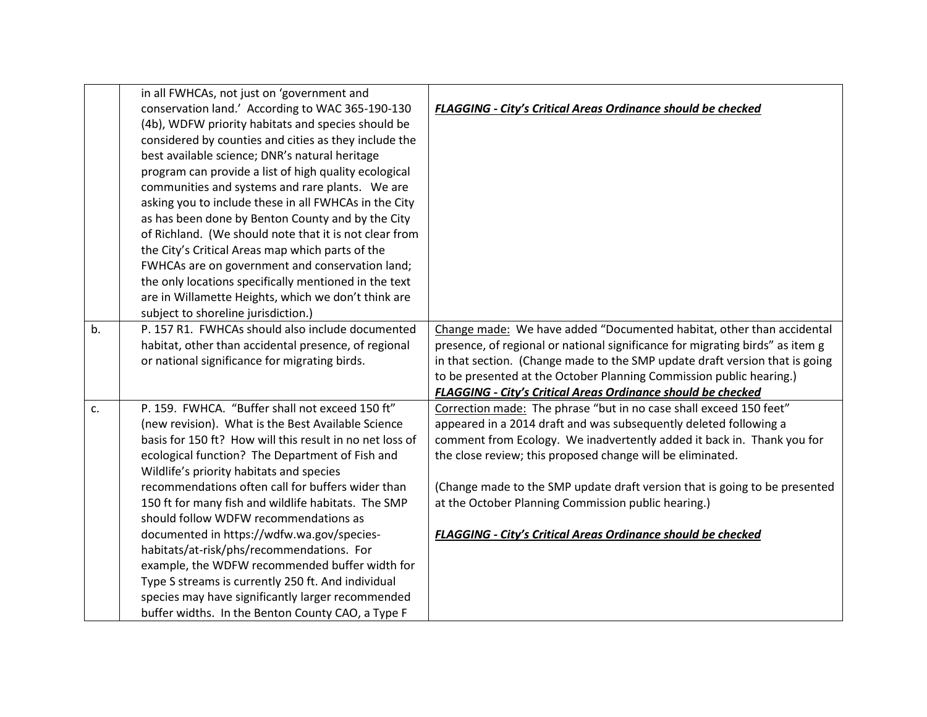|    | in all FWHCAs, not just on 'government and               |                                                                               |
|----|----------------------------------------------------------|-------------------------------------------------------------------------------|
|    | conservation land.' According to WAC 365-190-130         | <b>FLAGGING - City's Critical Areas Ordinance should be checked</b>           |
|    | (4b), WDFW priority habitats and species should be       |                                                                               |
|    | considered by counties and cities as they include the    |                                                                               |
|    | best available science; DNR's natural heritage           |                                                                               |
|    | program can provide a list of high quality ecological    |                                                                               |
|    | communities and systems and rare plants. We are          |                                                                               |
|    | asking you to include these in all FWHCAs in the City    |                                                                               |
|    | as has been done by Benton County and by the City        |                                                                               |
|    | of Richland. (We should note that it is not clear from   |                                                                               |
|    | the City's Critical Areas map which parts of the         |                                                                               |
|    | FWHCAs are on government and conservation land;          |                                                                               |
|    | the only locations specifically mentioned in the text    |                                                                               |
|    | are in Willamette Heights, which we don't think are      |                                                                               |
|    | subject to shoreline jurisdiction.)                      |                                                                               |
| b. | P. 157 R1. FWHCAs should also include documented         | Change made: We have added "Documented habitat, other than accidental         |
|    | habitat, other than accidental presence, of regional     | presence, of regional or national significance for migrating birds" as item g |
|    | or national significance for migrating birds.            | in that section. (Change made to the SMP update draft version that is going   |
|    |                                                          | to be presented at the October Planning Commission public hearing.)           |
|    |                                                          | <b>FLAGGING - City's Critical Areas Ordinance should be checked</b>           |
| c. | P. 159. FWHCA. "Buffer shall not exceed 150 ft"          | Correction made: The phrase "but in no case shall exceed 150 feet"            |
|    | (new revision). What is the Best Available Science       | appeared in a 2014 draft and was subsequently deleted following a             |
|    | basis for 150 ft? How will this result in no net loss of | comment from Ecology. We inadvertently added it back in. Thank you for        |
|    | ecological function? The Department of Fish and          | the close review; this proposed change will be eliminated.                    |
|    | Wildlife's priority habitats and species                 |                                                                               |
|    | recommendations often call for buffers wider than        | (Change made to the SMP update draft version that is going to be presented    |
|    | 150 ft for many fish and wildlife habitats. The SMP      | at the October Planning Commission public hearing.)                           |
|    | should follow WDFW recommendations as                    |                                                                               |
|    | documented in https://wdfw.wa.gov/species-               | <b>FLAGGING - City's Critical Areas Ordinance should be checked</b>           |
|    | habitats/at-risk/phs/recommendations. For                |                                                                               |
|    | example, the WDFW recommended buffer width for           |                                                                               |
|    | Type S streams is currently 250 ft. And individual       |                                                                               |
|    | species may have significantly larger recommended        |                                                                               |
|    | buffer widths. In the Benton County CAO, a Type F        |                                                                               |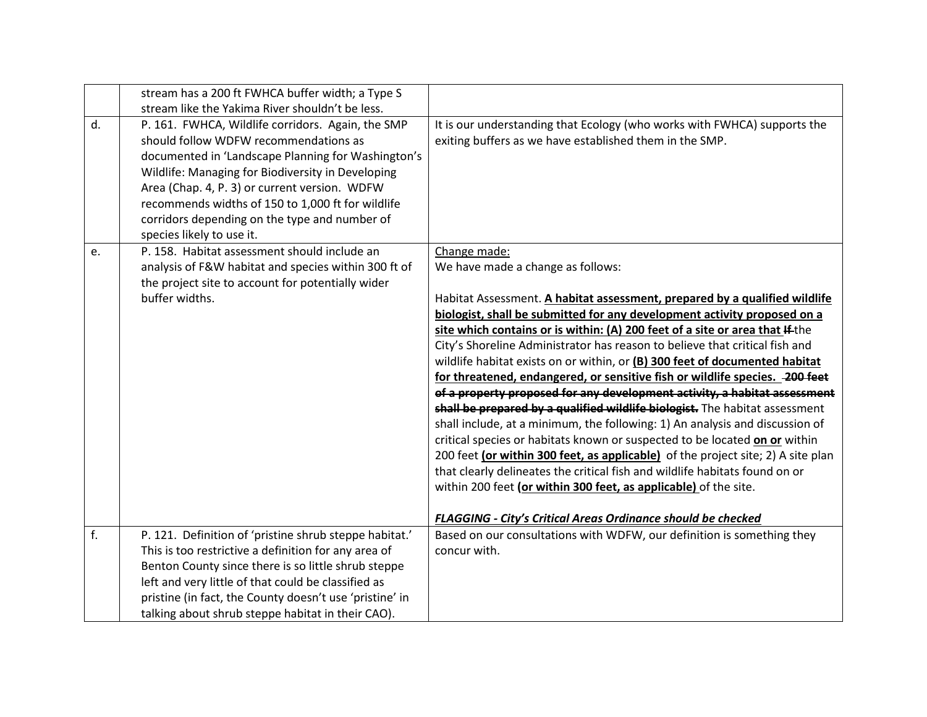|    | stream has a 200 ft FWHCA buffer width; a Type S<br>stream like the Yakima River shouldn't be less.                                                                                                                                                                                                                                                                                       |                                                                                                                                                                                                                                                                                                                                                                                                                                                                                                                                                                                                                                                                                                                                                                                                                                                                                                                                                                                                                                                                                                                                                                                    |
|----|-------------------------------------------------------------------------------------------------------------------------------------------------------------------------------------------------------------------------------------------------------------------------------------------------------------------------------------------------------------------------------------------|------------------------------------------------------------------------------------------------------------------------------------------------------------------------------------------------------------------------------------------------------------------------------------------------------------------------------------------------------------------------------------------------------------------------------------------------------------------------------------------------------------------------------------------------------------------------------------------------------------------------------------------------------------------------------------------------------------------------------------------------------------------------------------------------------------------------------------------------------------------------------------------------------------------------------------------------------------------------------------------------------------------------------------------------------------------------------------------------------------------------------------------------------------------------------------|
| d. | P. 161. FWHCA, Wildlife corridors. Again, the SMP<br>should follow WDFW recommendations as<br>documented in 'Landscape Planning for Washington's<br>Wildlife: Managing for Biodiversity in Developing<br>Area (Chap. 4, P. 3) or current version. WDFW<br>recommends widths of 150 to 1,000 ft for wildlife<br>corridors depending on the type and number of<br>species likely to use it. | It is our understanding that Ecology (who works with FWHCA) supports the<br>exiting buffers as we have established them in the SMP.                                                                                                                                                                                                                                                                                                                                                                                                                                                                                                                                                                                                                                                                                                                                                                                                                                                                                                                                                                                                                                                |
| e. | P. 158. Habitat assessment should include an<br>analysis of F&W habitat and species within 300 ft of<br>the project site to account for potentially wider<br>buffer widths.                                                                                                                                                                                                               | Change made:<br>We have made a change as follows:<br>Habitat Assessment. A habitat assessment, prepared by a qualified wildlife<br>biologist, shall be submitted for any development activity proposed on a<br>site which contains or is within: (A) 200 feet of a site or area that If the<br>City's Shoreline Administrator has reason to believe that critical fish and<br>wildlife habitat exists on or within, or (B) 300 feet of documented habitat<br>for threatened, endangered, or sensitive fish or wildlife species. - 200 feet<br>of a property proposed for any development activity, a habitat assessment<br>shall be prepared by a qualified wildlife biologist. The habitat assessment<br>shall include, at a minimum, the following: 1) An analysis and discussion of<br>critical species or habitats known or suspected to be located on or within<br>200 feet (or within 300 feet, as applicable) of the project site; 2) A site plan<br>that clearly delineates the critical fish and wildlife habitats found on or<br>within 200 feet (or within 300 feet, as applicable) of the site.<br><b>FLAGGING - City's Critical Areas Ordinance should be checked</b> |
| f. | P. 121. Definition of 'pristine shrub steppe habitat.'<br>This is too restrictive a definition for any area of<br>Benton County since there is so little shrub steppe<br>left and very little of that could be classified as<br>pristine (in fact, the County doesn't use 'pristine' in<br>talking about shrub steppe habitat in their CAO).                                              | Based on our consultations with WDFW, our definition is something they<br>concur with.                                                                                                                                                                                                                                                                                                                                                                                                                                                                                                                                                                                                                                                                                                                                                                                                                                                                                                                                                                                                                                                                                             |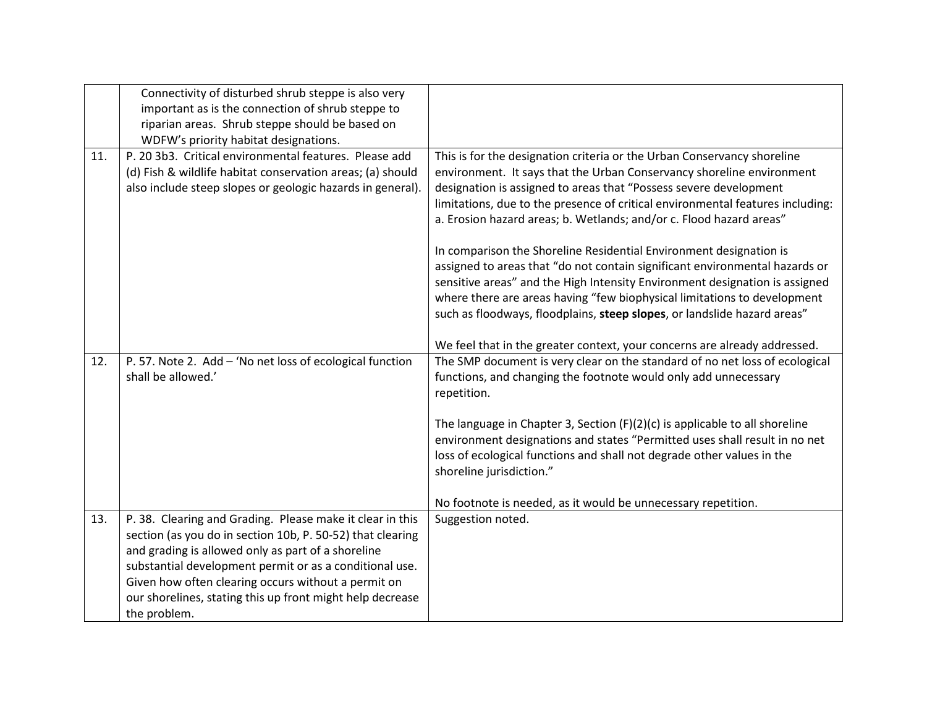|     | Connectivity of disturbed shrub steppe is also very                                                                                                                                                                                                                                                                                                                          |                                                                                                                                                                                                                                                                                                                                                                                                                                                                                                                                                                                                                                                                                                                                                                            |
|-----|------------------------------------------------------------------------------------------------------------------------------------------------------------------------------------------------------------------------------------------------------------------------------------------------------------------------------------------------------------------------------|----------------------------------------------------------------------------------------------------------------------------------------------------------------------------------------------------------------------------------------------------------------------------------------------------------------------------------------------------------------------------------------------------------------------------------------------------------------------------------------------------------------------------------------------------------------------------------------------------------------------------------------------------------------------------------------------------------------------------------------------------------------------------|
|     | important as is the connection of shrub steppe to                                                                                                                                                                                                                                                                                                                            |                                                                                                                                                                                                                                                                                                                                                                                                                                                                                                                                                                                                                                                                                                                                                                            |
|     | riparian areas. Shrub steppe should be based on                                                                                                                                                                                                                                                                                                                              |                                                                                                                                                                                                                                                                                                                                                                                                                                                                                                                                                                                                                                                                                                                                                                            |
|     | WDFW's priority habitat designations.                                                                                                                                                                                                                                                                                                                                        |                                                                                                                                                                                                                                                                                                                                                                                                                                                                                                                                                                                                                                                                                                                                                                            |
| 11. | P. 20 3b3. Critical environmental features. Please add<br>(d) Fish & wildlife habitat conservation areas; (a) should<br>also include steep slopes or geologic hazards in general).                                                                                                                                                                                           | This is for the designation criteria or the Urban Conservancy shoreline<br>environment. It says that the Urban Conservancy shoreline environment<br>designation is assigned to areas that "Possess severe development<br>limitations, due to the presence of critical environmental features including:<br>a. Erosion hazard areas; b. Wetlands; and/or c. Flood hazard areas"<br>In comparison the Shoreline Residential Environment designation is<br>assigned to areas that "do not contain significant environmental hazards or<br>sensitive areas" and the High Intensity Environment designation is assigned<br>where there are areas having "few biophysical limitations to development<br>such as floodways, floodplains, steep slopes, or landslide hazard areas" |
| 12. | P. 57. Note 2. Add - 'No net loss of ecological function<br>shall be allowed.'                                                                                                                                                                                                                                                                                               | We feel that in the greater context, your concerns are already addressed.<br>The SMP document is very clear on the standard of no net loss of ecological<br>functions, and changing the footnote would only add unnecessary<br>repetition.<br>The language in Chapter 3, Section $(F)(2)(c)$ is applicable to all shoreline<br>environment designations and states "Permitted uses shall result in no net<br>loss of ecological functions and shall not degrade other values in the<br>shoreline jurisdiction."<br>No footnote is needed, as it would be unnecessary repetition.                                                                                                                                                                                           |
| 13. | P. 38. Clearing and Grading. Please make it clear in this<br>section (as you do in section 10b, P. 50-52) that clearing<br>and grading is allowed only as part of a shoreline<br>substantial development permit or as a conditional use.<br>Given how often clearing occurs without a permit on<br>our shorelines, stating this up front might help decrease<br>the problem. | Suggestion noted.                                                                                                                                                                                                                                                                                                                                                                                                                                                                                                                                                                                                                                                                                                                                                          |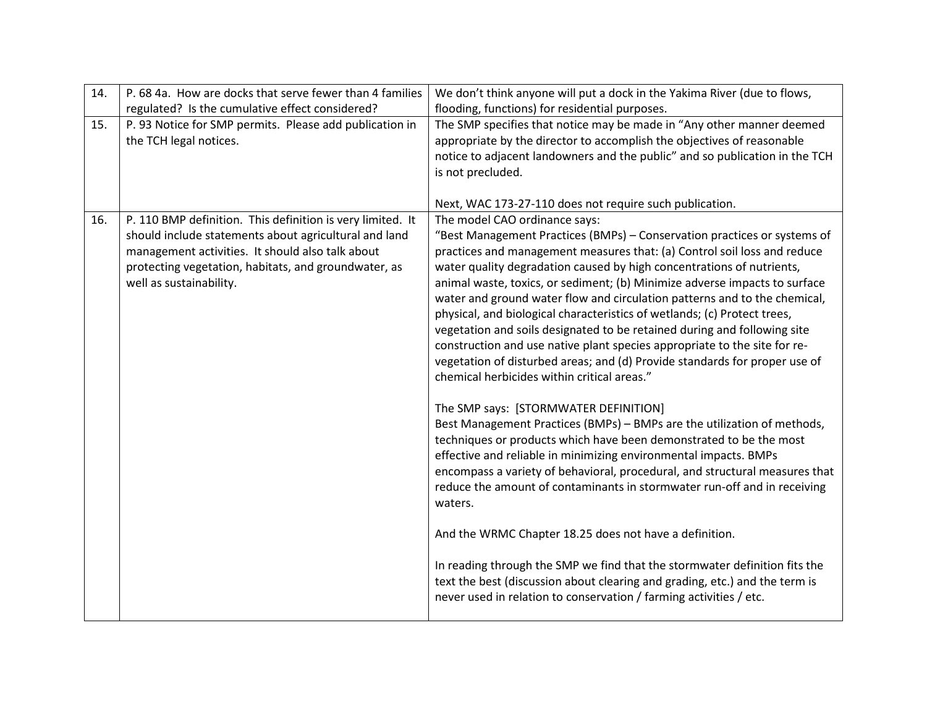| 14. | P. 68 4a. How are docks that serve fewer than 4 families   | We don't think anyone will put a dock in the Yakima River (due to flows,    |
|-----|------------------------------------------------------------|-----------------------------------------------------------------------------|
|     | regulated? Is the cumulative effect considered?            | flooding, functions) for residential purposes.                              |
| 15. | P. 93 Notice for SMP permits. Please add publication in    | The SMP specifies that notice may be made in "Any other manner deemed       |
|     | the TCH legal notices.                                     | appropriate by the director to accomplish the objectives of reasonable      |
|     |                                                            | notice to adjacent landowners and the public" and so publication in the TCH |
|     |                                                            | is not precluded.                                                           |
|     |                                                            |                                                                             |
|     |                                                            | Next, WAC 173-27-110 does not require such publication.                     |
| 16. | P. 110 BMP definition. This definition is very limited. It | The model CAO ordinance says:                                               |
|     | should include statements about agricultural and land      | "Best Management Practices (BMPs) - Conservation practices or systems of    |
|     | management activities. It should also talk about           | practices and management measures that: (a) Control soil loss and reduce    |
|     | protecting vegetation, habitats, and groundwater, as       | water quality degradation caused by high concentrations of nutrients,       |
|     | well as sustainability.                                    | animal waste, toxics, or sediment; (b) Minimize adverse impacts to surface  |
|     |                                                            | water and ground water flow and circulation patterns and to the chemical,   |
|     |                                                            | physical, and biological characteristics of wetlands; (c) Protect trees,    |
|     |                                                            | vegetation and soils designated to be retained during and following site    |
|     |                                                            | construction and use native plant species appropriate to the site for re-   |
|     |                                                            | vegetation of disturbed areas; and (d) Provide standards for proper use of  |
|     |                                                            | chemical herbicides within critical areas."                                 |
|     |                                                            | The SMP says: [STORMWATER DEFINITION]                                       |
|     |                                                            | Best Management Practices (BMPs) - BMPs are the utilization of methods,     |
|     |                                                            | techniques or products which have been demonstrated to be the most          |
|     |                                                            | effective and reliable in minimizing environmental impacts. BMPs            |
|     |                                                            | encompass a variety of behavioral, procedural, and structural measures that |
|     |                                                            | reduce the amount of contaminants in stormwater run-off and in receiving    |
|     |                                                            | waters.                                                                     |
|     |                                                            |                                                                             |
|     |                                                            | And the WRMC Chapter 18.25 does not have a definition.                      |
|     |                                                            |                                                                             |
|     |                                                            | In reading through the SMP we find that the stormwater definition fits the  |
|     |                                                            | text the best (discussion about clearing and grading, etc.) and the term is |
|     |                                                            | never used in relation to conservation / farming activities / etc.          |
|     |                                                            |                                                                             |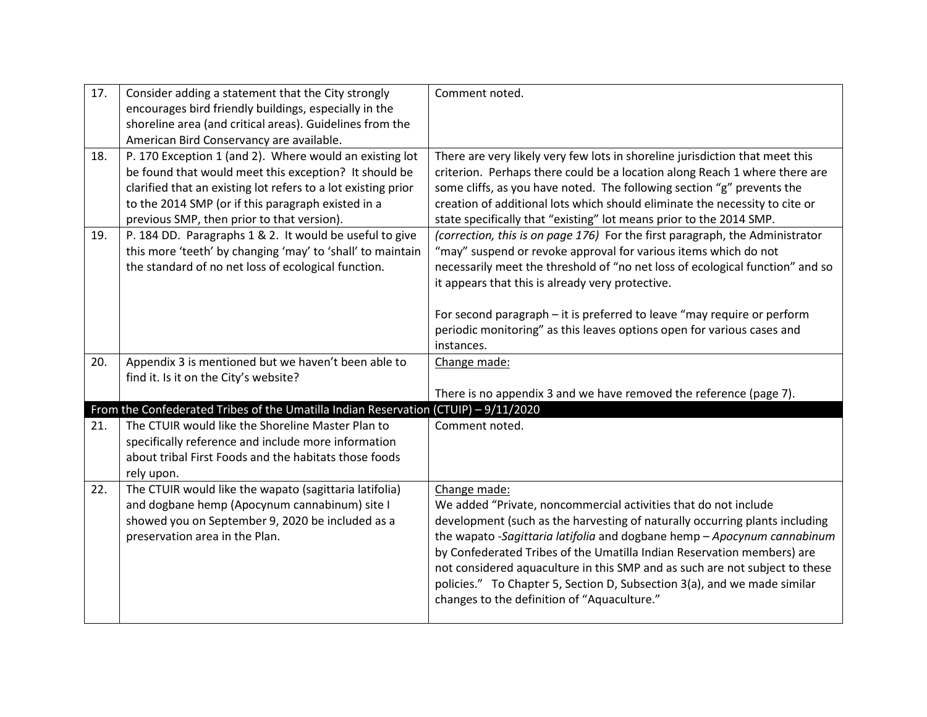| 17. | Consider adding a statement that the City strongly<br>encourages bird friendly buildings, especially in the<br>shoreline area (and critical areas). Guidelines from the<br>American Bird Conservancy are available.                                                                   | Comment noted.                                                                                                                                                                                                                                                                                                                                                                                                                                                                                                                |
|-----|---------------------------------------------------------------------------------------------------------------------------------------------------------------------------------------------------------------------------------------------------------------------------------------|-------------------------------------------------------------------------------------------------------------------------------------------------------------------------------------------------------------------------------------------------------------------------------------------------------------------------------------------------------------------------------------------------------------------------------------------------------------------------------------------------------------------------------|
| 18. | P. 170 Exception 1 (and 2). Where would an existing lot<br>be found that would meet this exception? It should be<br>clarified that an existing lot refers to a lot existing prior<br>to the 2014 SMP (or if this paragraph existed in a<br>previous SMP, then prior to that version). | There are very likely very few lots in shoreline jurisdiction that meet this<br>criterion. Perhaps there could be a location along Reach 1 where there are<br>some cliffs, as you have noted. The following section "g" prevents the<br>creation of additional lots which should eliminate the necessity to cite or<br>state specifically that "existing" lot means prior to the 2014 SMP.                                                                                                                                    |
| 19. | P. 184 DD. Paragraphs 1 & 2. It would be useful to give<br>this more 'teeth' by changing 'may' to 'shall' to maintain<br>the standard of no net loss of ecological function.                                                                                                          | (correction, this is on page 176) For the first paragraph, the Administrator<br>"may" suspend or revoke approval for various items which do not<br>necessarily meet the threshold of "no net loss of ecological function" and so<br>it appears that this is already very protective.<br>For second paragraph - it is preferred to leave "may require or perform<br>periodic monitoring" as this leaves options open for various cases and<br>instances.                                                                       |
| 20. | Appendix 3 is mentioned but we haven't been able to<br>find it. Is it on the City's website?                                                                                                                                                                                          | Change made:<br>There is no appendix 3 and we have removed the reference (page 7).                                                                                                                                                                                                                                                                                                                                                                                                                                            |
|     | From the Confederated Tribes of the Umatilla Indian Reservation (CTUIP) - 9/11/2020                                                                                                                                                                                                   |                                                                                                                                                                                                                                                                                                                                                                                                                                                                                                                               |
| 21. | The CTUIR would like the Shoreline Master Plan to<br>specifically reference and include more information<br>about tribal First Foods and the habitats those foods<br>rely upon.                                                                                                       | Comment noted.                                                                                                                                                                                                                                                                                                                                                                                                                                                                                                                |
| 22. | The CTUIR would like the wapato (sagittaria latifolia)<br>and dogbane hemp (Apocynum cannabinum) site I<br>showed you on September 9, 2020 be included as a<br>preservation area in the Plan.                                                                                         | Change made:<br>We added "Private, noncommercial activities that do not include<br>development (such as the harvesting of naturally occurring plants including<br>the wapato -Sagittaria latifolia and dogbane hemp - Apocynum cannabinum<br>by Confederated Tribes of the Umatilla Indian Reservation members) are<br>not considered aquaculture in this SMP and as such are not subject to these<br>policies." To Chapter 5, Section D, Subsection 3(a), and we made similar<br>changes to the definition of "Aquaculture." |